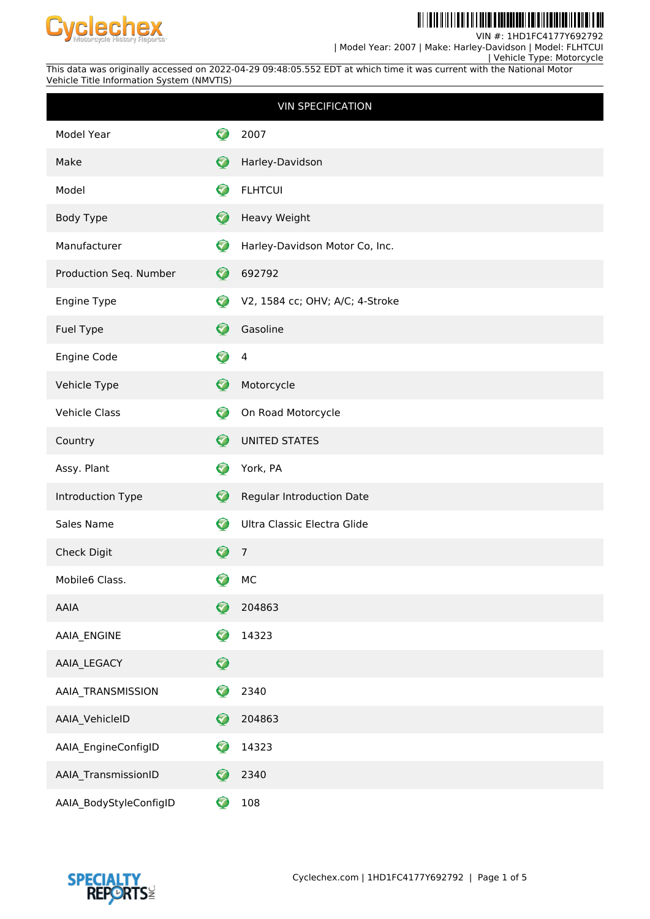

<u> Ail ionn a mheilth an Eileann an </u> WW WW H

VIN #: 1HD1FC4177Y692792

 | Model Year: 2007 | Make: Harley-Davidson | Model: FLHTCUI | Vehicle Type: Motorcycle

This data was originally accessed on 2022-04-29 09:48:05.552 EDT at which time it was current with the National Motor Vehicle Title Information System (NMVTIS)

|                        |                      | <b>VIN SPECIFICATION</b>        |
|------------------------|----------------------|---------------------------------|
| Model Year             | $\blacktriangledown$ | 2007                            |
| Make                   | Ø                    | Harley-Davidson                 |
| Model                  | Ø                    | <b>FLHTCUI</b>                  |
| Body Type              | Ø                    | Heavy Weight                    |
| Manufacturer           | ♡                    | Harley-Davidson Motor Co, Inc.  |
| Production Seq. Number | $\bullet$            | 692792                          |
| Engine Type            | €                    | V2, 1584 cc; OHV; A/C; 4-Stroke |
| Fuel Type              | Ø                    | Gasoline                        |
| Engine Code            | 0                    | $\overline{4}$                  |
| Vehicle Type           | Ø                    | Motorcycle                      |
| <b>Vehicle Class</b>   | Ø                    | On Road Motorcycle              |
| Country                | Ø                    | <b>UNITED STATES</b>            |
| Assy. Plant            | €                    | York, PA                        |
| Introduction Type      | $\bullet$            | Regular Introduction Date       |
| Sales Name             | €                    | Ultra Classic Electra Glide     |
| Check Digit            | ❤                    | $\overline{7}$                  |
| Mobile6 Class.         | 3                    | MC                              |
| <b>AAIA</b>            | G                    | 204863                          |
| AAIA_ENGINE            | Ø                    | 14323                           |
| AAIA_LEGACY            | $\mathbf Q$          |                                 |
| AAIA_TRANSMISSION      | 7                    | 2340                            |
| AAIA_VehicleID         | Ø                    | 204863                          |
| AAIA_EngineConfigID    | Ø                    | 14323                           |
| AAIA_TransmissionID    | G                    | 2340                            |
| AAIA_BodyStyleConfigID | ♡                    | 108                             |

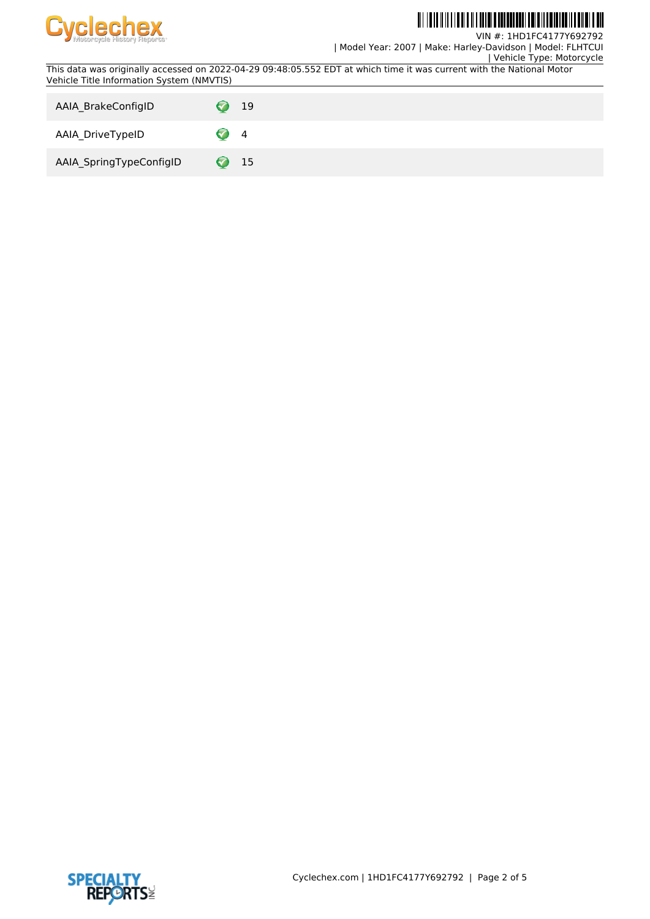

#### <u> Ail ionn a mheilth an Eileann an </u> WW WW

VIN #: 1HD1FC4177Y692792

| Model Year: 2007 | Make: Harley-Davidson | Model: FLHTCUI

 | Vehicle Type: Motorcycle This data was originally accessed on 2022-04-29 09:48:05.552 EDT at which time it was current with the National Motor Vehicle Title Information System (NMVTIS)

| AAIA BrakeConfigID      | 19      |
|-------------------------|---------|
| AAIA_DriveTypeID        | 4       |
| AAIA_SpringTypeConfigID | 15<br>6 |

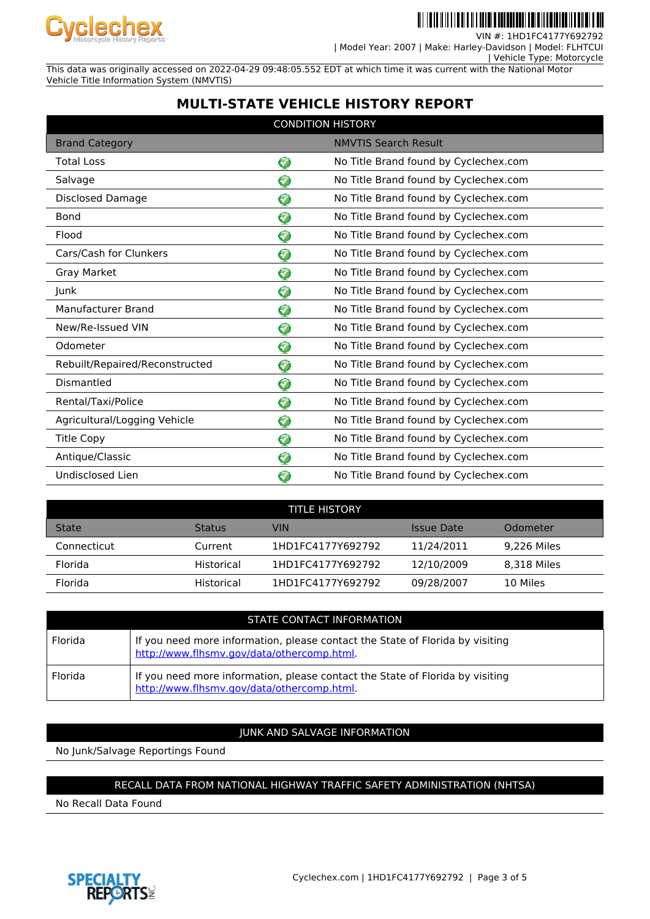

VIN #: 1HD1FC4177 | Model Year: 2007 | Make: Harley-Davidson | Model: FLHTCUI

| Vehicle Type: Motorcycle

This data was originally accessed on 2022-04-29 09:48:05.552 EDT at which time it was current with the National Motor Vehicle Title Information System (NMVTIS)

# **MULTI-STATE VEHICLE HISTORY REPORT**

| <b>CONDITION HISTORY</b>       |                |                                       |  |
|--------------------------------|----------------|---------------------------------------|--|
| <b>Brand Category</b>          |                | <b>NMVTIS Search Result</b>           |  |
| <b>Total Loss</b>              | ♡              | No Title Brand found by Cyclechex.com |  |
| Salvage                        | <b>V</b>       | No Title Brand found by Cyclechex.com |  |
| <b>Disclosed Damage</b>        | <mark>√</mark> | No Title Brand found by Cyclechex.com |  |
| <b>Bond</b>                    | 7              | No Title Brand found by Cyclechex.com |  |
| Flood                          | ଚ              | No Title Brand found by Cyclechex.com |  |
| Cars/Cash for Clunkers         | ❤              | No Title Brand found by Cyclechex.com |  |
| Gray Market                    | ଚ              | No Title Brand found by Cyclechex.com |  |
| Junk                           | ❤              | No Title Brand found by Cyclechex.com |  |
| Manufacturer Brand             | ♡              | No Title Brand found by Cyclechex.com |  |
| New/Re-Issued VIN              | 2              | No Title Brand found by Cyclechex.com |  |
| Odometer                       | 0              | No Title Brand found by Cyclechex.com |  |
| Rebuilt/Repaired/Reconstructed | 0              | No Title Brand found by Cyclechex.com |  |
| Dismantled                     | ❤              | No Title Brand found by Cyclechex.com |  |
| Rental/Taxi/Police             | ଚ              | No Title Brand found by Cyclechex.com |  |
| Agricultural/Logging Vehicle   | ❤              | No Title Brand found by Cyclechex.com |  |
| <b>Title Copy</b>              | ♡              | No Title Brand found by Cyclechex.com |  |
| Antique/Classic                | ♡              | No Title Brand found by Cyclechex.com |  |
| Undisclosed Lien               | 3              | No Title Brand found by Cyclechex.com |  |

| <b>TITLE HISTORY</b> |               |                   |            |             |  |
|----------------------|---------------|-------------------|------------|-------------|--|
| <b>State</b>         | <b>Status</b> | VIN               | Issue Date | Odometer    |  |
| Connecticut          | Current       | 1HD1FC4177Y692792 | 11/24/2011 | 9.226 Miles |  |
| Florida              | Historical    | 1HD1FC4177Y692792 | 12/10/2009 | 8.318 Miles |  |
| Florida              | Historical    | 1HD1FC4177Y692792 | 09/28/2007 | 10 Miles    |  |

| STATE CONTACT INFORMATION |                                                                                                                            |  |  |
|---------------------------|----------------------------------------------------------------------------------------------------------------------------|--|--|
| Florida                   | If you need more information, please contact the State of Florida by visiting<br>http://www.flhsmv.gov/data/othercomp.html |  |  |
| Florida                   | If you need more information, please contact the State of Florida by visiting<br>http://www.flhsmy.gov/data/othercomp.html |  |  |

## JUNK AND SALVAGE INFORMATION

No Junk/Salvage Reportings Found

### RECALL DATA FROM NATIONAL HIGHWAY TRAFFIC SAFETY ADMINISTRATION (NHTSA)

No Recall Data Found

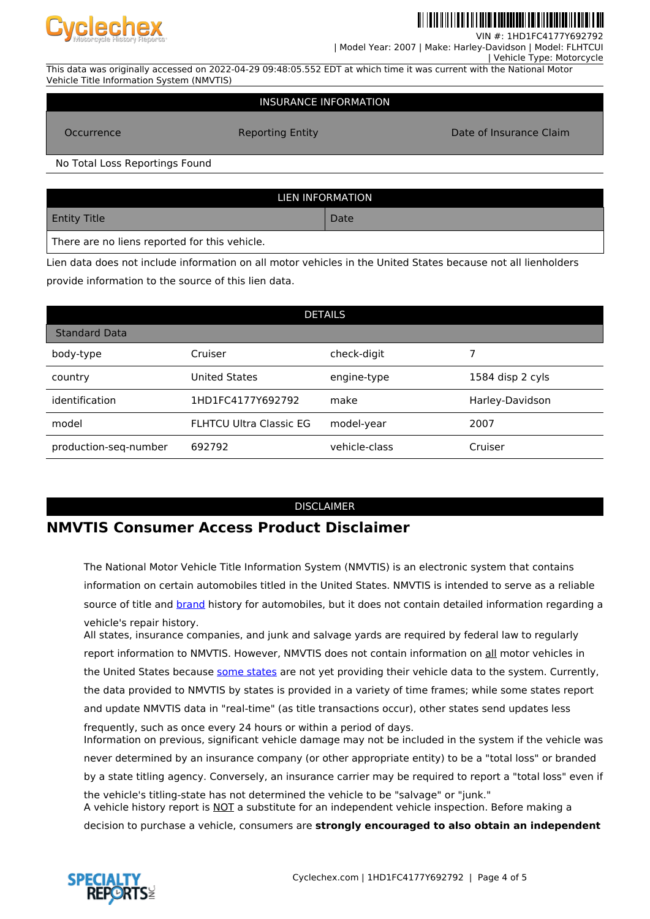

VIN  $#$  $\cdot$  1HD1FC417

| Model Year: 2007 | Make: Harley-Davidson | Model: FLHTCUI

 | Vehicle Type: Motorcycle This data was originally accessed on 2022-04-29 09:48:05.552 EDT at which time it was current with the National Motor Vehicle Title Information System (NMVTIS)

#### INSURANCE INFORMATION

Occurrence **Reporting Entity Consumer Claim** Date of Insurance Claim

No Total Loss Reportings Found

| LIEN INFORMATION                              |      |  |  |
|-----------------------------------------------|------|--|--|
| <b>Entity Title</b>                           | Date |  |  |
| There are no liens reported for this vehicle. |      |  |  |

Lien data does not include information on all motor vehicles in the United States because not all lienholders provide information to the source of this lien data.

| <b>DETAILS</b>        |                                |               |                  |  |
|-----------------------|--------------------------------|---------------|------------------|--|
| <b>Standard Data</b>  |                                |               |                  |  |
| body-type             | Cruiser                        | check-digit   |                  |  |
| country               | <b>United States</b>           | engine-type   | 1584 disp 2 cyls |  |
| identification        | 1HD1FC4177Y692792              | make          | Harley-Davidson  |  |
| model                 | <b>FLHTCU Ultra Classic EG</b> | model-year    | 2007             |  |
| production-seq-number | 692792                         | vehicle-class | Cruiser          |  |

#### DISCLAIMER

## **NMVTIS Consumer Access Product Disclaimer**

The National Motor Vehicle Title Information System (NMVTIS) is an electronic system that contains information on certain automobiles titled in the United States. NMVTIS is intended to serve as a reliable source of title and [brand](https://vehiclehistory.bja.ojp.gov/nmvtis_glossary) history for automobiles, but it does not contain detailed information regarding a vehicle's repair history.

All states, insurance companies, and junk and salvage yards are required by federal law to regularly report information to NMVTIS. However, NMVTIS does not contain information on all motor vehicles in the United States because [some states](https://vehiclehistory.bja.ojp.gov/nmvtis_states) are not yet providing their vehicle data to the system. Currently, the data provided to NMVTIS by states is provided in a variety of time frames; while some states report and update NMVTIS data in "real-time" (as title transactions occur), other states send updates less frequently, such as once every 24 hours or within a period of days. Information on previous, significant vehicle damage may not be included in the system if the vehicle was never determined by an insurance company (or other appropriate entity) to be a "total loss" or branded by a state titling agency. Conversely, an insurance carrier may be required to report a "total loss" even if the vehicle's titling-state has not determined the vehicle to be "salvage" or "junk."

A vehicle history report is NOT a substitute for an independent vehicle inspection. Before making a decision to purchase a vehicle, consumers are **strongly encouraged to also obtain an independent**